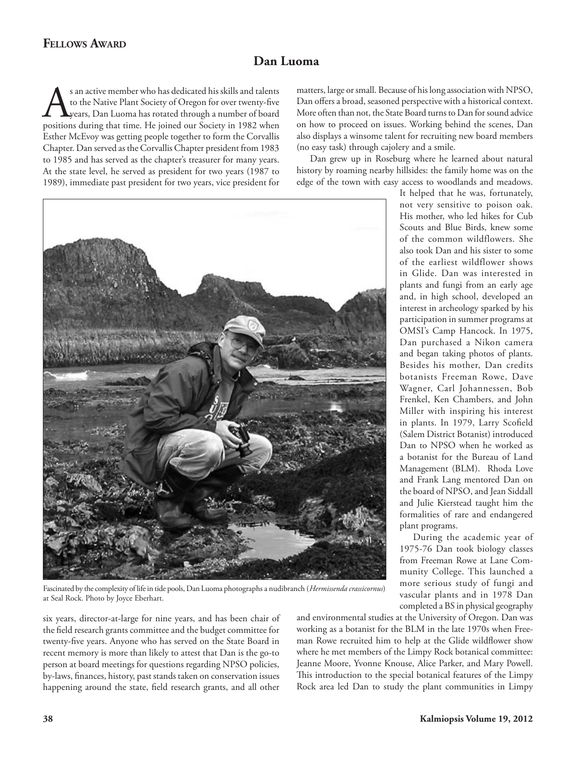## **Fellows Award**

## **Dan Luoma**

s an active member who has dedicated his skills and talents<br>to the Native Plant Society of Oregon for over twenty-five<br>positions during that time. He joined our Society in 1982 when to the Native Plant Society of Oregon for over twenty-five years, Dan Luoma has rotated through a number of board positions during that time. He joined our Society in 1982 when Esther McEvoy was getting people together to form the Corvallis Chapter. Dan served as the Corvallis Chapter president from 1983 to 1985 and has served as the chapter's treasurer for many years. At the state level, he served as president for two years (1987 to 1989), immediate past president for two years, vice president for

matters, large or small. Because of his long association with NPSO, Dan offers a broad, seasoned perspective with a historical context. More often than not, the State Board turns to Dan for sound advice on how to proceed on issues. Working behind the scenes, Dan also displays a winsome talent for recruiting new board members (no easy task) through cajolery and a smile.

Dan grew up in Roseburg where he learned about natural history by roaming nearby hillsides: the family home was on the edge of the town with easy access to woodlands and meadows.



Fascinated by the complexity of life in tide pools, Dan Luoma photographs a nudibranch (*Hermissenda crassicornus*) at Seal Rock. Photo by Joyce Eberhart.

It helped that he was, fortunately, not very sensitive to poison oak. His mother, who led hikes for Cub Scouts and Blue Birds, knew some of the common wildflowers. She also took Dan and his sister to some of the earliest wildflower shows in Glide. Dan was interested in plants and fungi from an early age and, in high school, developed an interest in archeology sparked by his participation in summer programs at OMSI's Camp Hancock. In 1975, Dan purchased a Nikon camera and began taking photos of plants. Besides his mother, Dan credits botanists Freeman Rowe, Dave Wagner, Carl Johannessen, Bob Frenkel, Ken Chambers, and John Miller with inspiring his interest in plants. In 1979, Larry Scofield (Salem District Botanist) introduced Dan to NPSO when he worked as a botanist for the Bureau of Land Management (BLM). Rhoda Love and Frank Lang mentored Dan on the board of NPSO, and Jean Siddall and Julie Kierstead taught him the formalities of rare and endangered plant programs.

During the academic year of 1975-76 Dan took biology classes from Freeman Rowe at Lane Community College. This launched a more serious study of fungi and vascular plants and in 1978 Dan completed a BS in physical geography

six years, director-at-large for nine years, and has been chair of the field research grants committee and the budget committee for twenty-five years. Anyone who has served on the State Board in recent memory is more than likely to attest that Dan is the go-to person at board meetings for questions regarding NPSO policies, by-laws, finances, history, past stands taken on conservation issues happening around the state, field research grants, and all other

and environmental studies at the University of Oregon. Dan was working as a botanist for the BLM in the late 1970s when Freeman Rowe recruited him to help at the Glide wildflower show where he met members of the Limpy Rock botanical committee: Jeanne Moore, Yvonne Knouse, Alice Parker, and Mary Powell. This introduction to the special botanical features of the Limpy Rock area led Dan to study the plant communities in Limpy